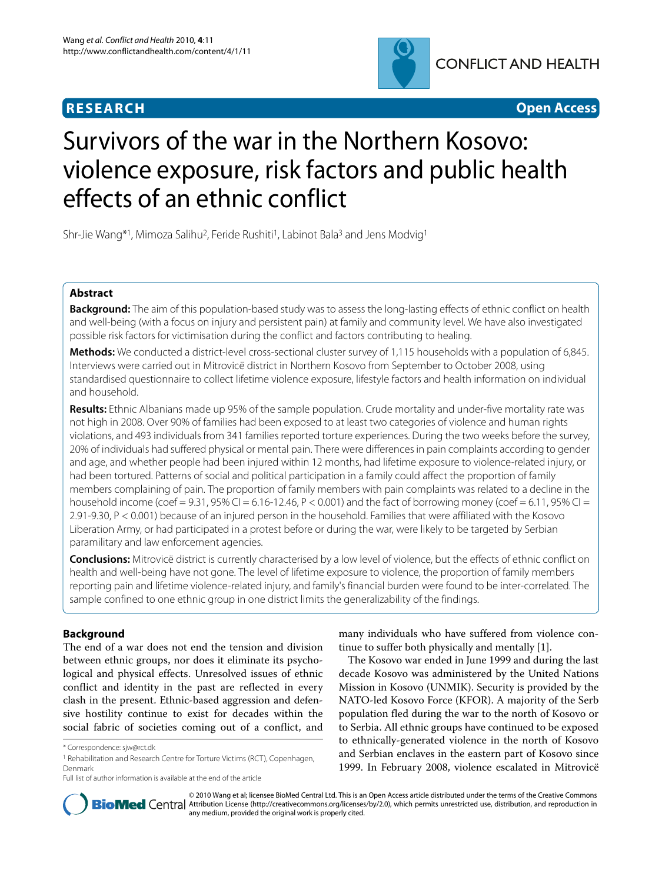

**RESEARCH Open Access**

# Survivors of the war in the Northern Kosovo: violence exposure, risk factors and public health effects of an ethnic conflict

Shr-Jie Wang\*1, Mimoza Salihu2, Feride Rushiti1, Labinot Bala3 and Jens Modvig1

# **Abstract**

**Background:** The aim of this population-based study was to assess the long-lasting effects of ethnic conflict on health and well-being (with a focus on injury and persistent pain) at family and community level. We have also investigated possible risk factors for victimisation during the conflict and factors contributing to healing.

**Methods:** We conducted a district-level cross-sectional cluster survey of 1,115 households with a population of 6,845. Interviews were carried out in Mitrovicë district in Northern Kosovo from September to October 2008, using standardised questionnaire to collect lifetime violence exposure, lifestyle factors and health information on individual and household.

**Results:** Ethnic Albanians made up 95% of the sample population. Crude mortality and under-five mortality rate was not high in 2008. Over 90% of families had been exposed to at least two categories of violence and human rights violations, and 493 individuals from 341 families reported torture experiences. During the two weeks before the survey, 20% of individuals had suffered physical or mental pain. There were differences in pain complaints according to gender and age, and whether people had been injured within 12 months, had lifetime exposure to violence-related injury, or had been tortured. Patterns of social and political participation in a family could affect the proportion of family members complaining of pain. The proportion of family members with pain complaints was related to a decline in the household income (coef = 9.31, 95% CI = 6.16-12.46,  $P < 0.001$ ) and the fact of borrowing money (coef = 6.11, 95% CI = 2.91-9.30, P < 0.001) because of an injured person in the household. Families that were affiliated with the Kosovo Liberation Army, or had participated in a protest before or during the war, were likely to be targeted by Serbian paramilitary and law enforcement agencies.

**Conclusions:** Mitrovicë district is currently characterised by a low level of violence, but the effects of ethnic conflict on health and well-being have not gone. The level of lifetime exposure to violence, the proportion of family members reporting pain and lifetime violence-related injury, and family's financial burden were found to be inter-correlated. The sample confined to one ethnic group in one district limits the generalizability of the findings.

## **Background**

The end of a war does not end the tension and division between ethnic groups, nor does it eliminate its psychological and physical effects. Unresolved issues of ethnic conflict and identity in the past are reflected in every clash in the present. Ethnic-based aggression and defensive hostility continue to exist for decades within the social fabric of societies coming out of a conflict, and

many individuals who have suffered from violence continue to suffer both physically and mentally [\[1](#page-15-0)].

The Kosovo war ended in June 1999 and during the last decade Kosovo was administered by the United Nations Mission in Kosovo (UNMIK). Security is provided by the NATO-led Kosovo Force (KFOR). A majority of the Serb population fled during the war to the north of Kosovo or to Serbia. All ethnic groups have continued to be exposed to ethnically-generated violence in the north of Kosovo and Serbian enclaves in the eastern part of Kosovo since 1999. In February 2008, violence escalated in Mitrovicë



© 2010 Wang et al; licensee BioMed Central Ltd. This is an Open Access article distributed under the terms of the Creative Commons **BioMed** Central Attribution License (http://creativecommons.org/licenses/by/2.0), which permits unrestricted use, distribution, and reproduction in any medium, provided the original work is properly cited.

<sup>\*</sup> Correspondence: sjw@rct.dk

<sup>1</sup> Rehabilitation and Research Centre for Torture Victims (RCT), Copenhagen, Denmark

Full list of author information is available at the end of the article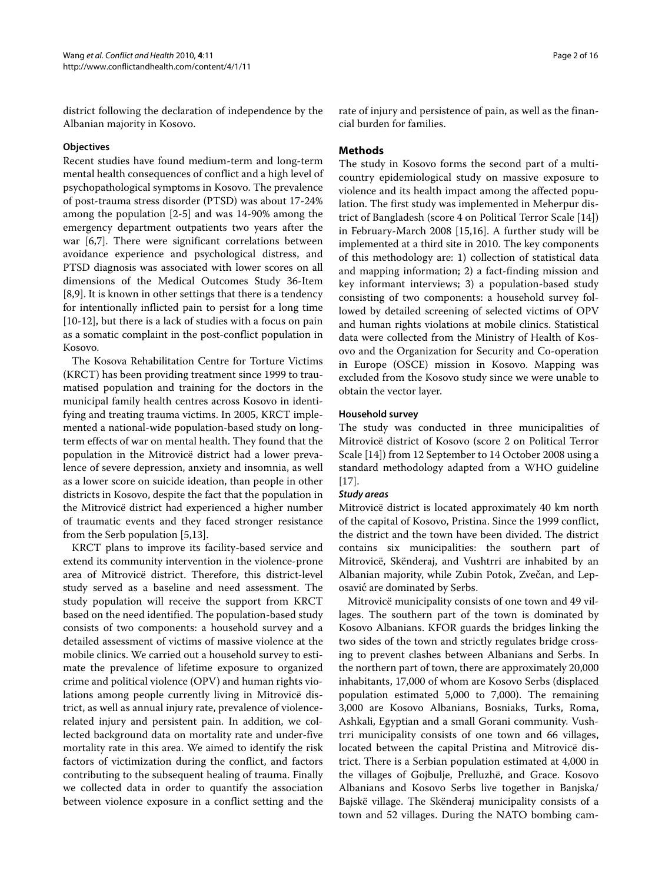district following the declaration of independence by the Albanian majority in Kosovo.

#### **Objectives**

Recent studies have found medium-term and long-term mental health consequences of conflict and a high level of psychopathological symptoms in Kosovo. The prevalence of post-trauma stress disorder (PTSD) was about 17-24% among the population [\[2](#page-15-1)-[5\]](#page-15-2) and was 14-90% among the emergency department outpatients two years after the war [[6,](#page-15-3)[7\]](#page-15-4). There were significant correlations between avoidance experience and psychological distress, and PTSD diagnosis was associated with lower scores on all dimensions of the Medical Outcomes Study 36-Item [[8,](#page-15-5)[9\]](#page-15-6). It is known in other settings that there is a tendency for intentionally inflicted pain to persist for a long time [[10-](#page-15-7)[12](#page-15-8)], but there is a lack of studies with a focus on pain as a somatic complaint in the post-conflict population in Kosovo.

The Kosova Rehabilitation Centre for Torture Victims (KRCT) has been providing treatment since 1999 to traumatised population and training for the doctors in the municipal family health centres across Kosovo in identifying and treating trauma victims. In 2005, KRCT implemented a national-wide population-based study on longterm effects of war on mental health. They found that the population in the Mitrovicë district had a lower prevalence of severe depression, anxiety and insomnia, as well as a lower score on suicide ideation, than people in other districts in Kosovo, despite the fact that the population in the Mitrovicë district had experienced a higher number of traumatic events and they faced stronger resistance from the Serb population [\[5](#page-15-2)[,13](#page-15-9)].

KRCT plans to improve its facility-based service and extend its community intervention in the violence-prone area of Mitrovicë district. Therefore, this district-level study served as a baseline and need assessment. The study population will receive the support from KRCT based on the need identified. The population-based study consists of two components: a household survey and a detailed assessment of victims of massive violence at the mobile clinics. We carried out a household survey to estimate the prevalence of lifetime exposure to organized crime and political violence (OPV) and human rights violations among people currently living in Mitrovicë district, as well as annual injury rate, prevalence of violencerelated injury and persistent pain. In addition, we collected background data on mortality rate and under-five mortality rate in this area. We aimed to identify the risk factors of victimization during the conflict, and factors contributing to the subsequent healing of trauma. Finally we collected data in order to quantify the association between violence exposure in a conflict setting and the

rate of injury and persistence of pain, as well as the financial burden for families.

### **Methods**

The study in Kosovo forms the second part of a multicountry epidemiological study on massive exposure to violence and its health impact among the affected population. The first study was implemented in Meherpur district of Bangladesh (score 4 on Political Terror Scale [\[14](#page-15-10)]) in February-March 2008 [[15,](#page-15-11)[16\]](#page-15-12). A further study will be implemented at a third site in 2010. The key components of this methodology are: 1) collection of statistical data and mapping information; 2) a fact-finding mission and key informant interviews; 3) a population-based study consisting of two components: a household survey followed by detailed screening of selected victims of OPV and human rights violations at mobile clinics. Statistical data were collected from the Ministry of Health of Kosovo and the Organization for Security and Co-operation in Europe (OSCE) mission in Kosovo. Mapping was excluded from the Kosovo study since we were unable to obtain the vector layer.

#### **Household survey**

The study was conducted in three municipalities of Mitrovicë district of Kosovo (score 2 on Political Terror Scale [\[14\]](#page-15-10)) from 12 September to 14 October 2008 using a standard methodology adapted from a WHO guideline [[17\]](#page-15-13).

#### **Study areas**

Mitrovicë district is located approximately 40 km north of the capital of Kosovo, Pristina. Since the 1999 conflict, the district and the town have been divided. The district contains six municipalities: the southern part of Mitrovicë, Skënderaj, and Vushtrri are inhabited by an Albanian majority, while Zubin Potok, Zvečan, and Leposavić are dominated by Serbs.

Mitrovicë municipality consists of one town and 49 villages. The southern part of the town is dominated by Kosovo Albanians. KFOR guards the bridges linking the two sides of the town and strictly regulates bridge crossing to prevent clashes between Albanians and Serbs. In the northern part of town, there are approximately 20,000 inhabitants, 17,000 of whom are Kosovo Serbs (displaced population estimated 5,000 to 7,000). The remaining 3,000 are Kosovo Albanians, Bosniaks, Turks, Roma, Ashkali, Egyptian and a small Gorani community. Vushtrri municipality consists of one town and 66 villages, located between the capital Pristina and Mitrovicë district. There is a Serbian population estimated at 4,000 in the villages of Gojbulje, Prelluzhë, and Grace. Kosovo Albanians and Kosovo Serbs live together in Banjska/ Bajskë village. The Skënderaj municipality consists of a town and 52 villages. During the NATO bombing cam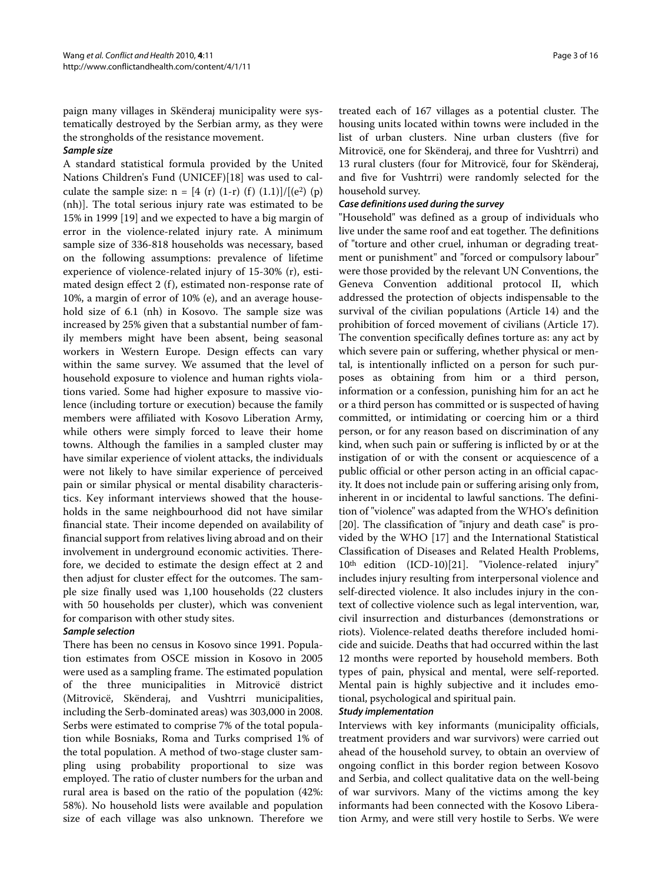paign many villages in Skënderaj municipality were systematically destroyed by the Serbian army, as they were the strongholds of the resistance movement.

#### **Sample size**

A standard statistical formula provided by the United Nations Children's Fund (UNICEF)[[18](#page-15-14)] was used to calculate the sample size:  $n = [4 (r) (1-r) (f) (1.1)]/[(e^2) (p)$ (nh)]. The total serious injury rate was estimated to be 15% in 1999 [\[19](#page-15-15)] and we expected to have a big margin of error in the violence-related injury rate. A minimum sample size of 336-818 households was necessary, based on the following assumptions: prevalence of lifetime experience of violence-related injury of 15-30% (r), estimated design effect 2 (f), estimated non-response rate of 10%, a margin of error of 10% (e), and an average household size of 6.1 (nh) in Kosovo. The sample size was increased by 25% given that a substantial number of family members might have been absent, being seasonal workers in Western Europe. Design effects can vary within the same survey. We assumed that the level of household exposure to violence and human rights violations varied. Some had higher exposure to massive violence (including torture or execution) because the family members were affiliated with Kosovo Liberation Army, while others were simply forced to leave their home towns. Although the families in a sampled cluster may have similar experience of violent attacks, the individuals were not likely to have similar experience of perceived pain or similar physical or mental disability characteristics. Key informant interviews showed that the households in the same neighbourhood did not have similar financial state. Their income depended on availability of financial support from relatives living abroad and on their involvement in underground economic activities. Therefore, we decided to estimate the design effect at 2 and then adjust for cluster effect for the outcomes. The sample size finally used was 1,100 households (22 clusters with 50 households per cluster), which was convenient for comparison with other study sites.

#### **Sample selection**

There has been no census in Kosovo since 1991. Population estimates from OSCE mission in Kosovo in 2005 were used as a sampling frame. The estimated population of the three municipalities in Mitrovicë district (Mitrovicë, Skënderaj, and Vushtrri municipalities, including the Serb-dominated areas) was 303,000 in 2008. Serbs were estimated to comprise 7% of the total population while Bosniaks, Roma and Turks comprised 1% of the total population. A method of two-stage cluster sampling using probability proportional to size was employed. The ratio of cluster numbers for the urban and rural area is based on the ratio of the population (42%: 58%). No household lists were available and population size of each village was also unknown. Therefore we

treated each of 167 villages as a potential cluster. The housing units located within towns were included in the list of urban clusters. Nine urban clusters (five for Mitrovicë, one for Skënderaj, and three for Vushtrri) and 13 rural clusters (four for Mitrovicë, four for Skënderaj, and five for Vushtrri) were randomly selected for the household survey.

#### **Case definitions used during the survey**

"Household" was defined as a group of individuals who live under the same roof and eat together. The definitions of "torture and other cruel, inhuman or degrading treatment or punishment" and "forced or compulsory labour" were those provided by the relevant UN Conventions, the Geneva Convention additional protocol II, which addressed the protection of objects indispensable to the survival of the civilian populations (Article 14) and the prohibition of forced movement of civilians (Article 17). The convention specifically defines torture as: any act by which severe pain or suffering, whether physical or mental, is intentionally inflicted on a person for such purposes as obtaining from him or a third person, information or a confession, punishing him for an act he or a third person has committed or is suspected of having committed, or intimidating or coercing him or a third person, or for any reason based on discrimination of any kind, when such pain or suffering is inflicted by or at the instigation of or with the consent or acquiescence of a public official or other person acting in an official capacity. It does not include pain or suffering arising only from, inherent in or incidental to lawful sanctions. The definition of "violence" was adapted from the WHO's definition [[20\]](#page-15-16). The classification of "injury and death case" is provided by the WHO [\[17](#page-15-13)] and the International Statistical Classification of Diseases and Related Health Problems, 10th edition (ICD-10)[\[21](#page-15-17)]. "Violence-related injury" includes injury resulting from interpersonal violence and self-directed violence. It also includes injury in the context of collective violence such as legal intervention, war, civil insurrection and disturbances (demonstrations or riots). Violence-related deaths therefore included homicide and suicide. Deaths that had occurred within the last 12 months were reported by household members. Both types of pain, physical and mental, were self-reported. Mental pain is highly subjective and it includes emotional, psychological and spiritual pain.

#### **Study implementation**

Interviews with key informants (municipality officials, treatment providers and war survivors) were carried out ahead of the household survey, to obtain an overview of ongoing conflict in this border region between Kosovo and Serbia, and collect qualitative data on the well-being of war survivors. Many of the victims among the key informants had been connected with the Kosovo Liberation Army, and were still very hostile to Serbs. We were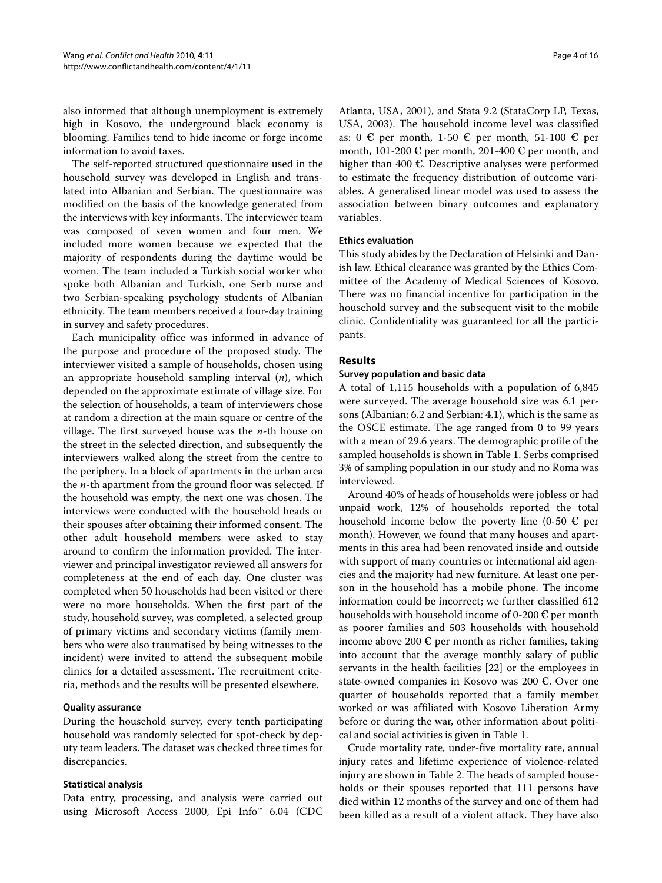also informed that although unemployment is extremely high in Kosovo, the underground black economy is blooming. Families tend to hide income or forge income information to avoid taxes.

The self-reported structured questionnaire used in the household survey was developed in English and translated into Albanian and Serbian. The questionnaire was modified on the basis of the knowledge generated from the interviews with key informants. The interviewer team was composed of seven women and four men. We included more women because we expected that the majority of respondents during the daytime would be women. The team included a Turkish social worker who spoke both Albanian and Turkish, one Serb nurse and two Serbian-speaking psychology students of Albanian ethnicity. The team members received a four-day training in survey and safety procedures.

Each municipality office was informed in advance of the purpose and procedure of the proposed study. The interviewer visited a sample of households, chosen using an appropriate household sampling interval (*n*), which depended on the approximate estimate of village size. For the selection of households, a team of interviewers chose at random a direction at the main square or centre of the village. The first surveyed house was the *n*-th house on the street in the selected direction, and subsequently the interviewers walked along the street from the centre to the periphery. In a block of apartments in the urban area the *n*-th apartment from the ground floor was selected. If the household was empty, the next one was chosen. The interviews were conducted with the household heads or their spouses after obtaining their informed consent. The other adult household members were asked to stay around to confirm the information provided. The interviewer and principal investigator reviewed all answers for completeness at the end of each day. One cluster was completed when 50 households had been visited or there were no more households. When the first part of the study, household survey, was completed, a selected group of primary victims and secondary victims (family members who were also traumatised by being witnesses to the incident) were invited to attend the subsequent mobile clinics for a detailed assessment. The recruitment criteria, methods and the results will be presented elsewhere.

#### **Quality assurance**

During the household survey, every tenth participating household was randomly selected for spot-check by deputy team leaders. The dataset was checked three times for discrepancies.

#### **Statistical analysis**

Data entry, processing, and analysis were carried out using Microsoft Access 2000, Epi Info™ 6.04 (CDC

Atlanta, USA, 2001), and Stata 9.2 (StataCorp LP, Texas, USA, 2003). The household income level was classified as:  $0 \in \mathbb{R}$  per month, 1-50  $\in \mathbb{R}$  per month, 51-100  $\in \mathbb{R}$  per month, 101-200  $\mathbf \epsilon$  per month, 201-400  $\mathbf \epsilon$  per month, and higher than 400  $\epsilon$ . Descriptive analyses were performed to estimate the frequency distribution of outcome variables. A generalised linear model was used to assess the association between binary outcomes and explanatory variables.

#### **Ethics evaluation**

This study abides by the Declaration of Helsinki and Danish law. Ethical clearance was granted by the Ethics Committee of the Academy of Medical Sciences of Kosovo. There was no financial incentive for participation in the household survey and the subsequent visit to the mobile clinic. Confidentiality was guaranteed for all the participants.

#### **Results**

#### **Survey population and basic data**

A total of 1,115 households with a population of 6,845 were surveyed. The average household size was 6.1 persons (Albanian: 6.2 and Serbian: 4.1), which is the same as the OSCE estimate. The age ranged from 0 to 99 years with a mean of 29.6 years. The demographic profile of the sampled households is shown in Table 1. Serbs comprised 3% of sampling population in our study and no Roma was interviewed.

Around 40% of heads of households were jobless or had unpaid work, 12% of households reported the total household income below the poverty line (0-50  $\epsilon$  per month). However, we found that many houses and apartments in this area had been renovated inside and outside with support of many countries or international aid agencies and the majority had new furniture. At least one person in the household has a mobile phone. The income information could be incorrect; we further classified 612 households with household income of 0-200  $\epsilon$  per month as poorer families and 503 households with household income above 200  $\epsilon$  per month as richer families, taking into account that the average monthly salary of public servants in the health facilities [\[22](#page-15-18)] or the employees in state-owned companies in Kosovo was 200 €. Over one quarter of households reported that a family member worked or was affiliated with Kosovo Liberation Army before or during the war, other information about political and social activities is given in Table 1.

Crude mortality rate, under-five mortality rate, annual injury rates and lifetime experience of violence-related injury are shown in Table 2. The heads of sampled households or their spouses reported that 111 persons have died within 12 months of the survey and one of them had been killed as a result of a violent attack. They have also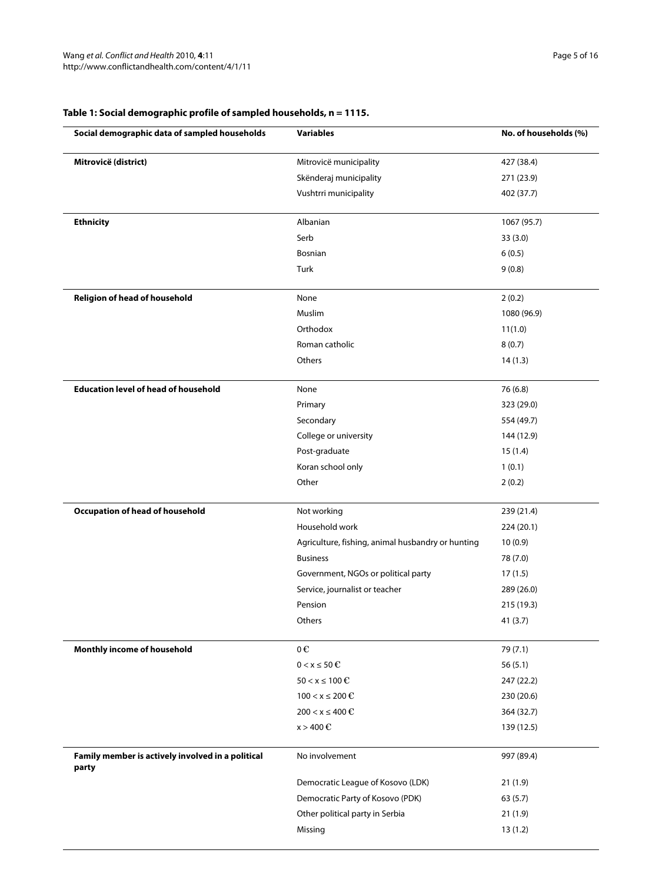| Social demographic data of sampled households              | <b>Variables</b>                                  | No. of households (%) |
|------------------------------------------------------------|---------------------------------------------------|-----------------------|
| Mitrovicë (district)                                       | Mitrovicë municipality                            | 427 (38.4)            |
|                                                            | Skënderaj municipality                            | 271 (23.9)            |
|                                                            | Vushtrri municipality                             | 402 (37.7)            |
| <b>Ethnicity</b>                                           | Albanian                                          | 1067 (95.7)           |
|                                                            | Serb                                              | 33(3.0)               |
|                                                            | Bosnian                                           | 6(0.5)                |
|                                                            | Turk                                              | 9(0.8)                |
| Religion of head of household                              | None                                              | 2(0.2)                |
|                                                            | Muslim                                            | 1080 (96.9)           |
|                                                            | Orthodox                                          | 11(1.0)               |
|                                                            | Roman catholic                                    | 8(0.7)                |
|                                                            | Others                                            | 14(1.3)               |
| <b>Education level of head of household</b>                | None                                              | 76 (6.8)              |
|                                                            | Primary                                           | 323 (29.0)            |
|                                                            | Secondary                                         | 554 (49.7)            |
|                                                            | College or university                             | 144 (12.9)            |
|                                                            | Post-graduate                                     | 15(1.4)               |
|                                                            | Koran school only                                 | 1(0.1)                |
|                                                            | Other                                             | 2(0.2)                |
| Occupation of head of household                            | Not working                                       | 239 (21.4)            |
|                                                            | Household work                                    | 224 (20.1)            |
|                                                            | Agriculture, fishing, animal husbandry or hunting | 10(0.9)               |
|                                                            | <b>Business</b>                                   | 78 (7.0)              |
|                                                            | Government, NGOs or political party               | 17(1.5)               |
|                                                            | Service, journalist or teacher                    | 289 (26.0)            |
|                                                            | Pension                                           | 215 (19.3)            |
|                                                            | Others                                            | 41 (3.7)              |
| Monthly income of household                                | $0 \in$                                           | 79 (7.1)              |
|                                                            | $0 < x \leq 50 \, \text{C}$                       | 56(5.1)               |
|                                                            | $50 < x \leq 100 \text{ C}$                       | 247 (22.2)            |
|                                                            | $100 < x \leq 200 \text{ C}$                      | 230 (20.6)            |
|                                                            | $200 < x \leq 400 \text{ C}$                      | 364 (32.7)            |
|                                                            | $x > 400 \text{ }C$                               | 139 (12.5)            |
| Family member is actively involved in a political<br>party | No involvement                                    | 997 (89.4)            |
|                                                            | Democratic League of Kosovo (LDK)                 | 21(1.9)               |
|                                                            | Democratic Party of Kosovo (PDK)                  | 63 (5.7)              |
|                                                            | Other political party in Serbia                   | 21(1.9)               |
|                                                            | Missing                                           | 13(1.2)               |
|                                                            |                                                   |                       |

# **Table 1: Social demographic profile of sampled households, n = 1115.**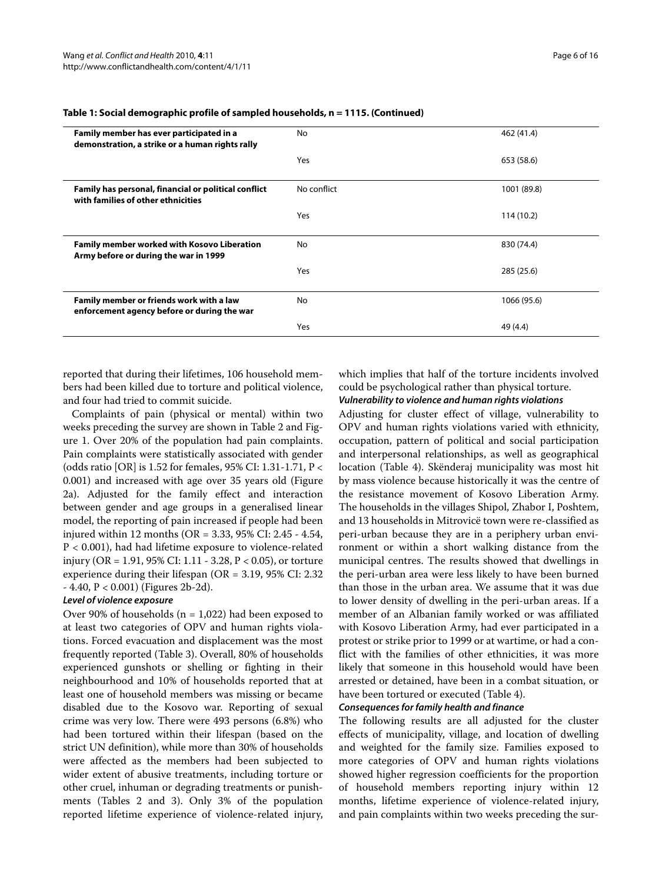| Family member has ever participated in a<br>demonstration, a strike or a human rights rally | No          | 462 (41.4)  |
|---------------------------------------------------------------------------------------------|-------------|-------------|
|                                                                                             | Yes         | 653 (58.6)  |
| Family has personal, financial or political conflict<br>with families of other ethnicities  | No conflict | 1001 (89.8) |
|                                                                                             | Yes         | 114 (10.2)  |
| <b>Family member worked with Kosovo Liberation</b><br>Army before or during the war in 1999 | No          | 830 (74.4)  |
|                                                                                             | Yes         | 285 (25.6)  |
| Family member or friends work with a law<br>enforcement agency before or during the war     | No          | 1066 (95.6) |
|                                                                                             | Yes         | 49 (4.4)    |

#### **Table 1: Social demographic profile of sampled households, n = 1115. (Continued)**

reported that during their lifetimes, 106 household members had been killed due to torture and political violence, and four had tried to commit suicide.

Complaints of pain (physical or mental) within two weeks preceding the survey are shown in Table 2 and Figure [1](#page-7-0). Over 20% of the population had pain complaints. Pain complaints were statistically associated with gender (odds ratio [OR] is 1.52 for females, 95% CI: 1.31-1.71, P < 0.001) and increased with age over 35 years old (Figure [2a](#page-8-0)). Adjusted for the family effect and interaction between gender and age groups in a generalised linear model, the reporting of pain increased if people had been injured within 12 months (OR = 3.33, 95% CI: 2.45 - 4.54, P < 0.001), had had lifetime exposure to violence-related injury (OR = 1.91, 95% CI: 1.11 - 3.28, P < 0.05), or torture experience during their lifespan (OR = 3.19, 95% CI: 2.32 - 4.40, P < 0.001) (Figures [2](#page-8-0)b-2d).

### **Level of violence exposure**

Over 90% of households ( $n = 1,022$ ) had been exposed to at least two categories of OPV and human rights violations. Forced evacuation and displacement was the most frequently reported (Table 3). Overall, 80% of households experienced gunshots or shelling or fighting in their neighbourhood and 10% of households reported that at least one of household members was missing or became disabled due to the Kosovo war. Reporting of sexual crime was very low. There were 493 persons (6.8%) who had been tortured within their lifespan (based on the strict UN definition), while more than 30% of households were affected as the members had been subjected to wider extent of abusive treatments, including torture or other cruel, inhuman or degrading treatments or punishments (Tables 2 and 3). Only 3% of the population reported lifetime experience of violence-related injury, which implies that half of the torture incidents involved could be psychological rather than physical torture. **Vulnerability to violence and human rights violations**

Adjusting for cluster effect of village, vulnerability to OPV and human rights violations varied with ethnicity, occupation, pattern of political and social participation and interpersonal relationships, as well as geographical location (Table 4). Skënderaj municipality was most hit by mass violence because historically it was the centre of the resistance movement of Kosovo Liberation Army. The households in the villages Shipol, Zhabor I, Poshtem, and 13 households in Mitrovicë town were re-classified as peri-urban because they are in a periphery urban environment or within a short walking distance from the municipal centres. The results showed that dwellings in the peri-urban area were less likely to have been burned than those in the urban area. We assume that it was due to lower density of dwelling in the peri-urban areas. If a member of an Albanian family worked or was affiliated with Kosovo Liberation Army, had ever participated in a protest or strike prior to 1999 or at wartime, or had a conflict with the families of other ethnicities, it was more likely that someone in this household would have been arrested or detained, have been in a combat situation, or have been tortured or executed (Table 4).

#### **Consequences for family health and finance**

The following results are all adjusted for the cluster effects of municipality, village, and location of dwelling and weighted for the family size. Families exposed to more categories of OPV and human rights violations showed higher regression coefficients for the proportion of household members reporting injury within 12 months, lifetime experience of violence-related injury, and pain complaints within two weeks preceding the sur-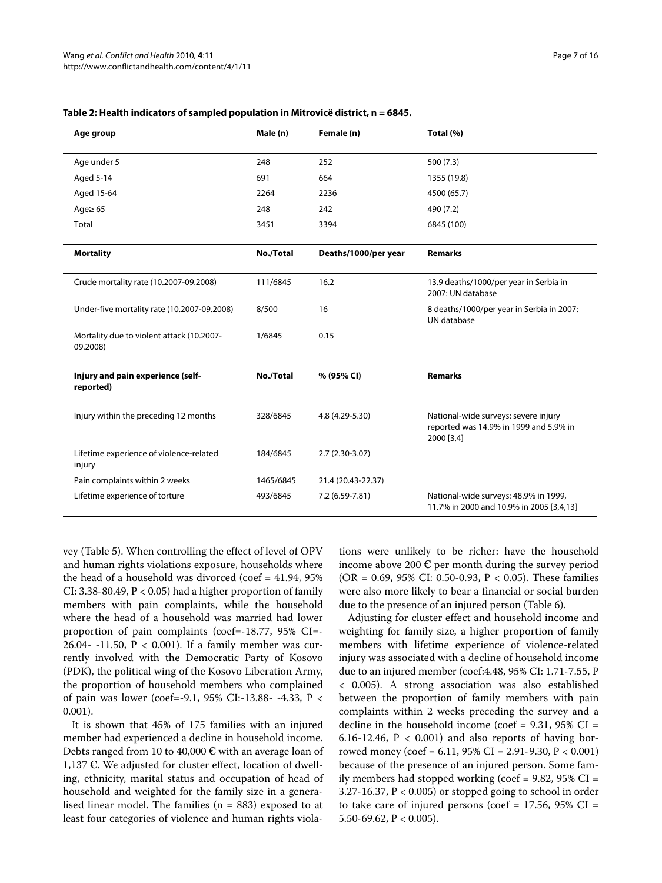| Age group                                             | Male (n)  | Female (n)           | Total (%)                                                                                    |
|-------------------------------------------------------|-----------|----------------------|----------------------------------------------------------------------------------------------|
| Age under 5                                           | 248       | 252                  | 500(7.3)                                                                                     |
| Aged 5-14                                             | 691       | 664                  | 1355 (19.8)                                                                                  |
| Aged 15-64                                            | 2264      | 2236                 | 4500 (65.7)                                                                                  |
| Age $\geq 65$                                         | 248       | 242                  | 490 (7.2)                                                                                    |
| Total                                                 | 3451      | 3394                 | 6845 (100)                                                                                   |
| <b>Mortality</b>                                      | No./Total | Deaths/1000/per year | <b>Remarks</b>                                                                               |
| Crude mortality rate (10.2007-09.2008)                | 111/6845  | 16.2                 | 13.9 deaths/1000/per year in Serbia in<br>2007: UN database                                  |
| Under-five mortality rate (10.2007-09.2008)           | 8/500     | 16                   | 8 deaths/1000/per year in Serbia in 2007:<br>UN database                                     |
| Mortality due to violent attack (10.2007-<br>09.2008) | 1/6845    | 0.15                 |                                                                                              |
| Injury and pain experience (self-<br>reported)        | No./Total | % (95% CI)           | <b>Remarks</b>                                                                               |
| Injury within the preceding 12 months                 | 328/6845  | 4.8 (4.29-5.30)      | National-wide surveys: severe injury<br>reported was 14.9% in 1999 and 5.9% in<br>2000 [3,4] |
| Lifetime experience of violence-related<br>injury     | 184/6845  | $2.7(2.30-3.07)$     |                                                                                              |
| Pain complaints within 2 weeks                        | 1465/6845 | 21.4 (20.43-22.37)   |                                                                                              |
| Lifetime experience of torture                        | 493/6845  | 7.2 (6.59-7.81)      | National-wide surveys: 48.9% in 1999,<br>11.7% in 2000 and 10.9% in 2005 [3,4,13]            |

#### **Table 2: Health indicators of sampled population in Mitrovicë district, n = 6845.**

vey (Table 5). When controlling the effect of level of OPV and human rights violations exposure, households where the head of a household was divorced (coef = 41.94, 95% CI: 3.38-80.49,  $P < 0.05$ ) had a higher proportion of family members with pain complaints, while the household where the head of a household was married had lower proportion of pain complaints (coef=-18.77, 95% CI=- 26.04- -11.50, P < 0.001). If a family member was currently involved with the Democratic Party of Kosovo (PDK), the political wing of the Kosovo Liberation Army, the proportion of household members who complained of pain was lower (coef=-9.1, 95% CI:-13.88- -4.33, P < 0.001).

It is shown that 45% of 175 families with an injured member had experienced a decline in household income. Debts ranged from 10 to 40,000  $\epsilon$  with an average loan of 1,137  $\epsilon$ . We adjusted for cluster effect, location of dwelling, ethnicity, marital status and occupation of head of household and weighted for the family size in a generalised linear model. The families  $(n = 883)$  exposed to at least four categories of violence and human rights viola-

tions were unlikely to be richer: have the household income above 200  $\epsilon$  per month during the survey period (OR = 0.69, 95% CI: 0.50-0.93, P < 0.05). These families were also more likely to bear a financial or social burden due to the presence of an injured person (Table 6).

Adjusting for cluster effect and household income and weighting for family size, a higher proportion of family members with lifetime experience of violence-related injury was associated with a decline of household income due to an injured member (coef:4.48, 95% CI: 1.71-7.55, P < 0.005). A strong association was also established between the proportion of family members with pain complaints within 2 weeks preceding the survey and a decline in the household income (coef =  $9.31$ ,  $95\%$  CI = 6.16-12.46,  $P < 0.001$ ) and also reports of having borrowed money (coef = 6.11, 95% CI = 2.91-9.30, P < 0.001) because of the presence of an injured person. Some family members had stopped working (coef =  $9.82$ ,  $95\%$  CI = 3.27-16.37, P < 0.005) or stopped going to school in order to take care of injured persons (coef  $= 17.56$ , 95% CI  $=$ 5.50-69.62, P < 0.005).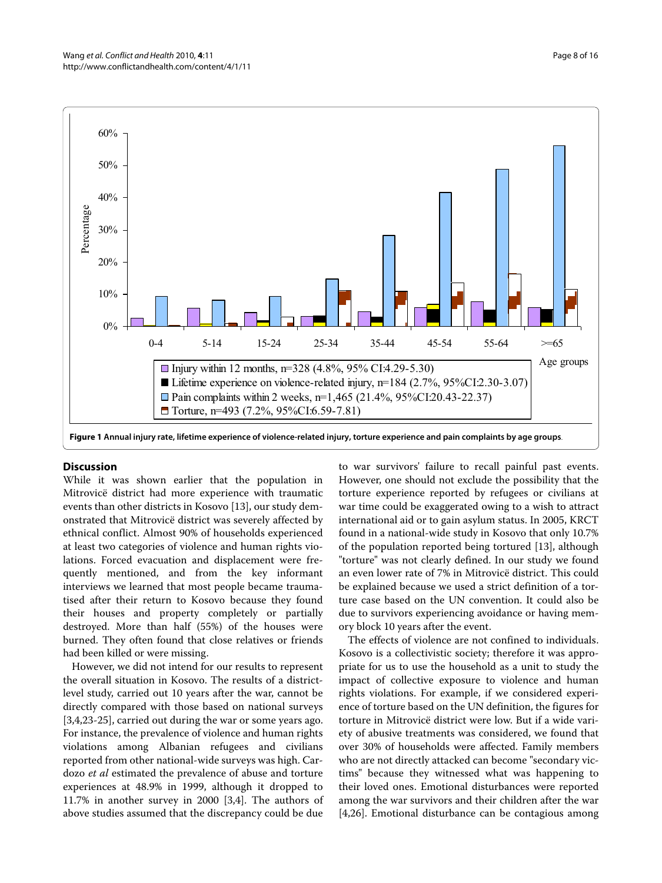<span id="page-7-0"></span>

#### **Discussion**

While it was shown earlier that the population in Mitrovicë district had more experience with traumatic events than other districts in Kosovo [[13\]](#page-15-9), our study demonstrated that Mitrovicë district was severely affected by ethnical conflict. Almost 90% of households experienced at least two categories of violence and human rights violations. Forced evacuation and displacement were frequently mentioned, and from the key informant interviews we learned that most people became traumatised after their return to Kosovo because they found their houses and property completely or partially destroyed. More than half (55%) of the houses were burned. They often found that close relatives or friends had been killed or were missing.

However, we did not intend for our results to represent the overall situation in Kosovo. The results of a districtlevel study, carried out 10 years after the war, cannot be directly compared with those based on national surveys [[3,](#page-15-19)[4](#page-15-20)[,23](#page-15-21)-[25](#page-15-22)], carried out during the war or some years ago. For instance, the prevalence of violence and human rights violations among Albanian refugees and civilians reported from other national-wide surveys was high. Cardozo *et al* estimated the prevalence of abuse and torture experiences at 48.9% in 1999, although it dropped to 11.7% in another survey in 2000 [[3](#page-15-19),[4\]](#page-15-20). The authors of above studies assumed that the discrepancy could be due to war survivors' failure to recall painful past events. However, one should not exclude the possibility that the torture experience reported by refugees or civilians at war time could be exaggerated owing to a wish to attract international aid or to gain asylum status. In 2005, KRCT found in a national-wide study in Kosovo that only 10.7% of the population reported being tortured [\[13\]](#page-15-9), although "torture" was not clearly defined. In our study we found an even lower rate of 7% in Mitrovicë district. This could be explained because we used a strict definition of a torture case based on the UN convention. It could also be due to survivors experiencing avoidance or having memory block 10 years after the event.

The effects of violence are not confined to individuals. Kosovo is a collectivistic society; therefore it was appropriate for us to use the household as a unit to study the impact of collective exposure to violence and human rights violations. For example, if we considered experience of torture based on the UN definition, the figures for torture in Mitrovicë district were low. But if a wide variety of abusive treatments was considered, we found that over 30% of households were affected. Family members who are not directly attacked can become "secondary victims" because they witnessed what was happening to their loved ones. Emotional disturbances were reported among the war survivors and their children after the war [[4,](#page-15-20)[26\]](#page-15-23). Emotional disturbance can be contagious among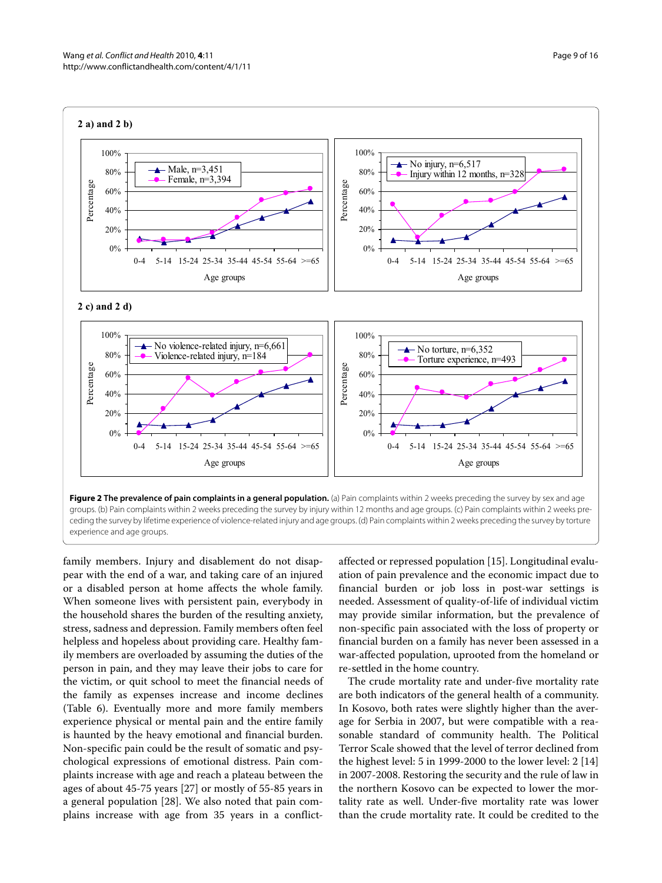<span id="page-8-0"></span>

**Figure 2 The prevalence of pain complaints in a general population. (a) Pain complaints within 2 weeks preceding the survey by sex and age** groups. (b) Pain complaints within 2 weeks preceding the survey by injury within 12 months and age groups. (c) Pain complaints within 2 weeks preceding the survey by lifetime experience of violence-related injury and age groups. (d) Pain complaints within 2 weeks preceding the survey by torture experience and age groups.

family members. Injury and disablement do not disappear with the end of a war, and taking care of an injured or a disabled person at home affects the whole family. When someone lives with persistent pain, everybody in the household shares the burden of the resulting anxiety, stress, sadness and depression. Family members often feel helpless and hopeless about providing care. Healthy family members are overloaded by assuming the duties of the person in pain, and they may leave their jobs to care for the victim, or quit school to meet the financial needs of the family as expenses increase and income declines (Table 6). Eventually more and more family members experience physical or mental pain and the entire family is haunted by the heavy emotional and financial burden. Non-specific pain could be the result of somatic and psychological expressions of emotional distress. Pain complaints increase with age and reach a plateau between the ages of about 45-75 years [[27](#page-15-24)] or mostly of 55-85 years in a general population [[28\]](#page-15-25). We also noted that pain complains increase with age from 35 years in a conflictaffected or repressed population [\[15](#page-15-11)]. Longitudinal evaluation of pain prevalence and the economic impact due to financial burden or job loss in post-war settings is needed. Assessment of quality-of-life of individual victim may provide similar information, but the prevalence of non-specific pain associated with the loss of property or financial burden on a family has never been assessed in a war-affected population, uprooted from the homeland or re-settled in the home country.

The crude mortality rate and under-five mortality rate are both indicators of the general health of a community. In Kosovo, both rates were slightly higher than the average for Serbia in 2007, but were compatible with a reasonable standard of community health. The Political Terror Scale showed that the level of terror declined from the highest level: 5 in 1999-2000 to the lower level: 2 [[14](#page-15-10)] in 2007-2008. Restoring the security and the rule of law in the northern Kosovo can be expected to lower the mortality rate as well. Under-five mortality rate was lower than the crude mortality rate. It could be credited to the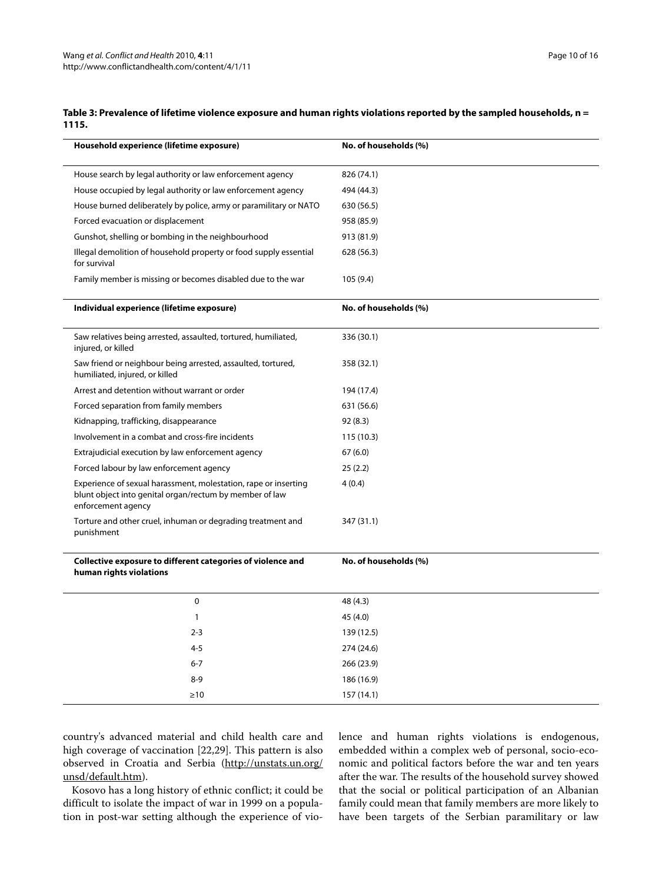#### **Table 3: Prevalence of lifetime violence exposure and human rights violations reported by the sampled households, n = 1115.**

| Household experience (lifetime exposure)                                                                                                         | No. of households (%) |  |  |  |  |
|--------------------------------------------------------------------------------------------------------------------------------------------------|-----------------------|--|--|--|--|
| House search by legal authority or law enforcement agency                                                                                        | 826 (74.1)            |  |  |  |  |
| House occupied by legal authority or law enforcement agency                                                                                      | 494 (44.3)            |  |  |  |  |
| House burned deliberately by police, army or paramilitary or NATO                                                                                | 630 (56.5)            |  |  |  |  |
| Forced evacuation or displacement                                                                                                                | 958 (85.9)            |  |  |  |  |
| Gunshot, shelling or bombing in the neighbourhood                                                                                                | 913 (81.9)            |  |  |  |  |
| Illegal demolition of household property or food supply essential<br>for survival                                                                | 628 (56.3)            |  |  |  |  |
| Family member is missing or becomes disabled due to the war                                                                                      | 105(9.4)              |  |  |  |  |
| Individual experience (lifetime exposure)                                                                                                        | No. of households (%) |  |  |  |  |
| Saw relatives being arrested, assaulted, tortured, humiliated,<br>injured, or killed                                                             | 336 (30.1)            |  |  |  |  |
| Saw friend or neighbour being arrested, assaulted, tortured,<br>humiliated, injured, or killed                                                   | 358 (32.1)            |  |  |  |  |
| Arrest and detention without warrant or order                                                                                                    | 194 (17.4)            |  |  |  |  |
| Forced separation from family members                                                                                                            | 631 (56.6)            |  |  |  |  |
| Kidnapping, trafficking, disappearance                                                                                                           | 92(8.3)               |  |  |  |  |
| Involvement in a combat and cross-fire incidents                                                                                                 | 115(10.3)             |  |  |  |  |
| Extrajudicial execution by law enforcement agency                                                                                                | 67(6.0)               |  |  |  |  |
| Forced labour by law enforcement agency                                                                                                          | 25(2.2)               |  |  |  |  |
| Experience of sexual harassment, molestation, rape or inserting<br>blunt object into genital organ/rectum by member of law<br>enforcement agency | 4(0.4)                |  |  |  |  |
| Torture and other cruel, inhuman or degrading treatment and<br>punishment                                                                        | 347 (31.1)            |  |  |  |  |
| Collective exposure to different categories of violence and<br>human rights violations                                                           | No. of households (%) |  |  |  |  |
| $\Omega$                                                                                                                                         | 48 (4.3)              |  |  |  |  |
| $\mathbf{1}$                                                                                                                                     | 45 (4.0)              |  |  |  |  |
| $2 - 3$                                                                                                                                          | 139 (12.5)            |  |  |  |  |
| $4 - 5$                                                                                                                                          | 274 (24.6)            |  |  |  |  |
| $6 - 7$                                                                                                                                          | 266 (23.9)            |  |  |  |  |
| $8 - 9$                                                                                                                                          | 186 (16.9)            |  |  |  |  |
| $\geq 10$                                                                                                                                        | 157 (14.1)            |  |  |  |  |

country's advanced material and child health care and high coverage of vaccination [[22,](#page-15-18)[29\]](#page-15-26). This pattern is also observed in Croatia and Serbia [\(http://unstats.un.org/](http://unstats.un.org/unsd/default.htm) [unsd/default.htm\)](http://unstats.un.org/unsd/default.htm).

Kosovo has a long history of ethnic conflict; it could be difficult to isolate the impact of war in 1999 on a population in post-war setting although the experience of violence and human rights violations is endogenous, embedded within a complex web of personal, socio-economic and political factors before the war and ten years after the war. The results of the household survey showed that the social or political participation of an Albanian family could mean that family members are more likely to have been targets of the Serbian paramilitary or law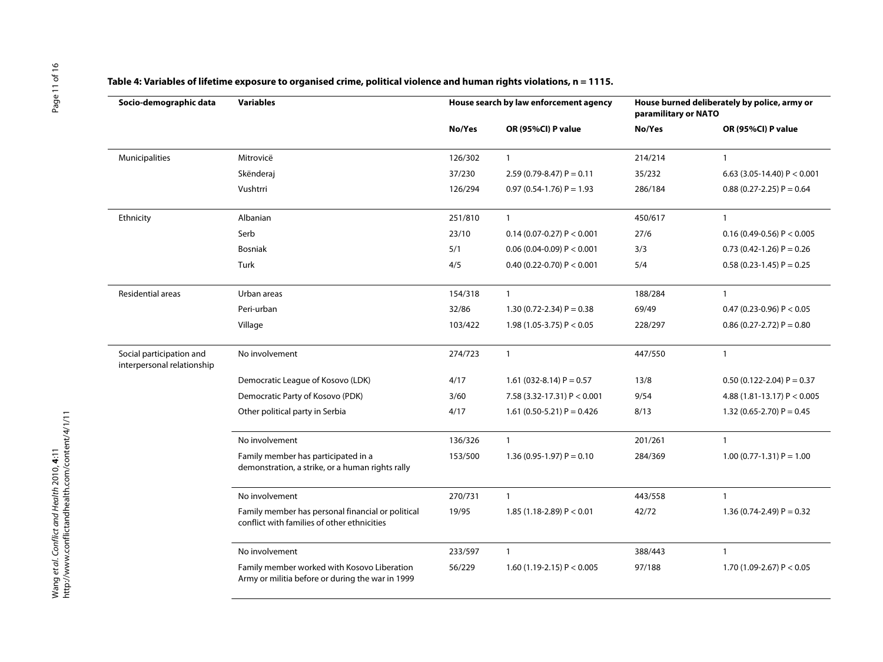| Socio-demographic data                                 | <b>Variables</b>                                                                                 |         | House search by law enforcement agency | House burned deliberately by police, army or<br>paramilitary or NATO |                               |  |
|--------------------------------------------------------|--------------------------------------------------------------------------------------------------|---------|----------------------------------------|----------------------------------------------------------------------|-------------------------------|--|
|                                                        |                                                                                                  | No/Yes  | OR (95%CI) P value                     | No/Yes                                                               | OR (95%CI) P value            |  |
| Municipalities                                         | Mitrovicë                                                                                        | 126/302 | $\mathbf{1}$                           | 214/214                                                              | $\mathbf{1}$                  |  |
|                                                        | Skënderaj                                                                                        | 37/230  | 2.59 (0.79-8.47) $P = 0.11$            | 35/232                                                               | 6.63 (3.05-14.40) $P < 0.001$ |  |
|                                                        | Vushtrri                                                                                         | 126/294 | $0.97$ (0.54-1.76) P = 1.93            | 286/184                                                              | $0.88$ (0.27-2.25) P = 0.64   |  |
| Ethnicity                                              | Albanian                                                                                         | 251/810 | $\mathbf{1}$                           | 450/617                                                              | $\mathbf{1}$                  |  |
|                                                        | Serb                                                                                             | 23/10   | $0.14$ (0.07-0.27) P < 0.001           | 27/6                                                                 | $0.16$ (0.49-0.56) P < 0.005  |  |
|                                                        | <b>Bosniak</b>                                                                                   | 5/1     | $0.06$ (0.04-0.09) P < 0.001           | 3/3                                                                  | $0.73$ (0.42-1.26) P = 0.26   |  |
|                                                        | Turk                                                                                             | 4/5     | 0.40 (0.22-0.70) $P < 0.001$           | 5/4                                                                  | $0.58$ (0.23-1.45) P = 0.25   |  |
| Residential areas                                      | Urban areas                                                                                      | 154/318 | $\mathbf{1}$                           | 188/284                                                              | $\mathbf{1}$                  |  |
|                                                        | Peri-urban                                                                                       | 32/86   | 1.30 (0.72-2.34) $P = 0.38$            | 69/49                                                                | 0.47 (0.23-0.96) $P < 0.05$   |  |
|                                                        | Village                                                                                          | 103/422 | 1.98 (1.05-3.75) $P < 0.05$            | 228/297                                                              | $0.86$ (0.27-2.72) P = 0.80   |  |
| Social participation and<br>interpersonal relationship | No involvement                                                                                   | 274/723 | $\mathbf{1}$                           | 447/550                                                              | $\mathbf{1}$                  |  |
|                                                        | Democratic League of Kosovo (LDK)                                                                | 4/17    | 1.61 (032-8.14) $P = 0.57$             | 13/8                                                                 | $0.50$ (0.122-2.04) P = 0.37  |  |
|                                                        | Democratic Party of Kosovo (PDK)                                                                 | 3/60    | 7.58 (3.32-17.31) P < 0.001            | 9/54                                                                 | 4.88 (1.81-13.17) P < 0.005   |  |
|                                                        | Other political party in Serbia                                                                  | 4/17    | 1.61 (0.50-5.21) $P = 0.426$           | 8/13                                                                 | 1.32 (0.65-2.70) $P = 0.45$   |  |
|                                                        | No involvement                                                                                   | 136/326 | $\mathbf{1}$                           | 201/261                                                              | $\mathbf{1}$                  |  |
|                                                        | Family member has participated in a<br>demonstration, a strike, or a human rights rally          | 153/500 | $1.36(0.95-1.97) P = 0.10$             | 284/369                                                              | $1.00$ (0.77-1.31) P = 1.00   |  |
|                                                        | No involvement                                                                                   | 270/731 | $\mathbf{1}$                           | 443/558                                                              | $\mathbf{1}$                  |  |
|                                                        | Family member has personal financial or political<br>conflict with families of other ethnicities | 19/95   | 1.85 (1.18-2.89) $P < 0.01$            | 42/72                                                                | 1.36 (0.74-2.49) $P = 0.32$   |  |
|                                                        | No involvement                                                                                   | 233/597 | $\mathbf{1}$                           | 388/443                                                              | $\overline{1}$                |  |
|                                                        | Family member worked with Kosovo Liberation<br>Army or militia before or during the war in 1999  | 56/229  | 1.60 (1.19-2.15) $P < 0.005$           | 97/188                                                               | 1.70 (1.09-2.67) $P < 0.05$   |  |

# **Table 4: Variables of lifetime exposure to organised crime, political violence and human rights violations, n = 1115.**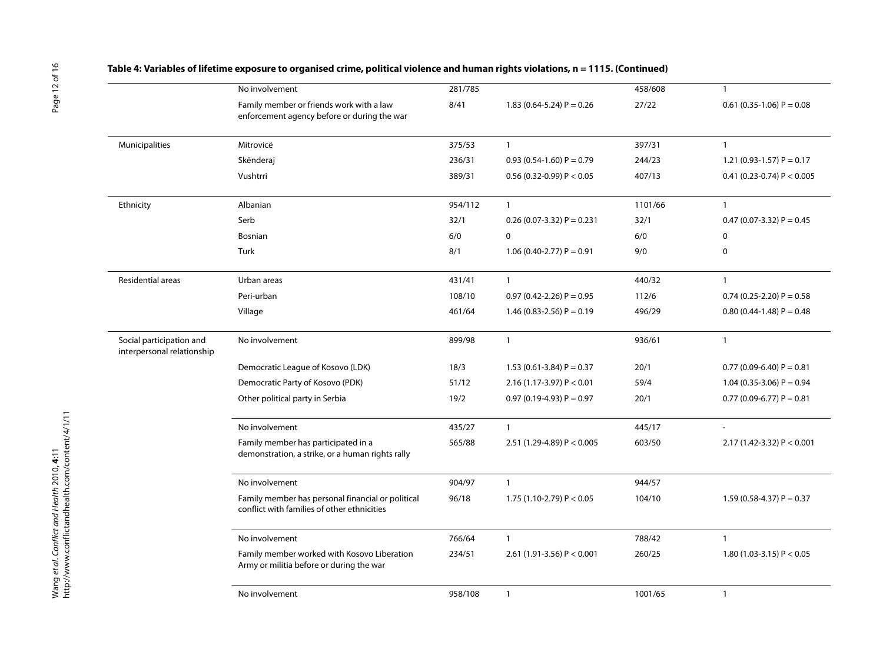|                                                        | No involvement                                                                                   | 281/785 |                              | 458/608 | $\mathbf{1}$                 |
|--------------------------------------------------------|--------------------------------------------------------------------------------------------------|---------|------------------------------|---------|------------------------------|
|                                                        | Family member or friends work with a law<br>enforcement agency before or during the war          | 8/41    | 1.83 (0.64-5.24) $P = 0.26$  | 27/22   | $0.61$ (0.35-1.06) P = 0.08  |
| Municipalities                                         | Mitrovicë                                                                                        | 375/53  | $\mathbf{1}$                 | 397/31  | $\mathbf{1}$                 |
|                                                        | Skënderaj                                                                                        | 236/31  | $0.93$ (0.54-1.60) P = 0.79  | 244/23  | 1.21 (0.93-1.57) $P = 0.17$  |
|                                                        | Vushtrri                                                                                         | 389/31  | $0.56$ (0.32-0.99) P < 0.05  | 407/13  | 0.41 (0.23-0.74) $P < 0.005$ |
| Ethnicity                                              | Albanian                                                                                         | 954/112 | $\mathbf{1}$                 | 1101/66 | $\mathbf{1}$                 |
|                                                        | Serb                                                                                             | 32/1    | $0.26(0.07-3.32)$ P = 0.231  | 32/1    | $0.47$ (0.07-3.32) P = 0.45  |
|                                                        | Bosnian                                                                                          | 6/0     | 0                            | 6/0     | 0                            |
|                                                        | Turk                                                                                             | 8/1     | 1.06 (0.40-2.77) $P = 0.91$  | 9/0     | $\mathbf 0$                  |
| <b>Residential areas</b>                               | Urban areas                                                                                      | 431/41  | $\mathbf{1}$                 | 440/32  | $\mathbf{1}$                 |
|                                                        | Peri-urban                                                                                       | 108/10  | $0.97$ (0.42-2.26) P = 0.95  | 112/6   | $0.74$ (0.25-2.20) P = 0.58  |
|                                                        | Village                                                                                          | 461/64  | 1.46 (0.83-2.56) $P = 0.19$  | 496/29  | $0.80$ (0.44-1.48) P = 0.48  |
| Social participation and<br>interpersonal relationship | No involvement                                                                                   | 899/98  | $\mathbf{1}$                 |         | $\mathbf{1}$                 |
|                                                        | Democratic League of Kosovo (LDK)                                                                | 18/3    | 1.53 (0.61-3.84) $P = 0.37$  | 20/1    | $0.77$ (0.09-6.40) P = 0.81  |
|                                                        | Democratic Party of Kosovo (PDK)                                                                 | 51/12   | 2.16 (1.17-3.97) $P < 0.01$  | 59/4    | 1.04 (0.35-3.06) $P = 0.94$  |
|                                                        | Other political party in Serbia                                                                  | 19/2    | $0.97$ (0.19-4.93) P = 0.97  | 20/1    | $0.77$ (0.09-6.77) P = 0.81  |
|                                                        | No involvement                                                                                   | 435/27  | $\mathbf{1}$                 | 445/17  |                              |
|                                                        | Family member has participated in a<br>demonstration, a strike, or a human rights rally          | 565/88  | 2.51 (1.29-4.89) $P < 0.005$ | 603/50  | 2.17 (1.42-3.32) P < 0.001   |
|                                                        | No involvement                                                                                   | 904/97  | $\mathbf{1}$                 | 944/57  |                              |
|                                                        | Family member has personal financial or political<br>conflict with families of other ethnicities | 96/18   | 1.75 (1.10-2.79) P $< 0.05$  | 104/10  | 1.59 (0.58-4.37) $P = 0.37$  |
|                                                        | No involvement                                                                                   | 766/64  | $\mathbf{1}$                 | 788/42  | $\mathbf{1}$                 |
|                                                        |                                                                                                  |         |                              |         |                              |
|                                                        | Family member worked with Kosovo Liberation<br>Army or militia before or during the war          | 234/51  | 2.61 (1.91-3.56) P < 0.001   | 260/25  | 1.80 (1.03-3.15) $P < 0.05$  |

# **Table 4: Variables of lifetime exposure to organised crime, political violence and human rights violations, n = 1115. (Continued)**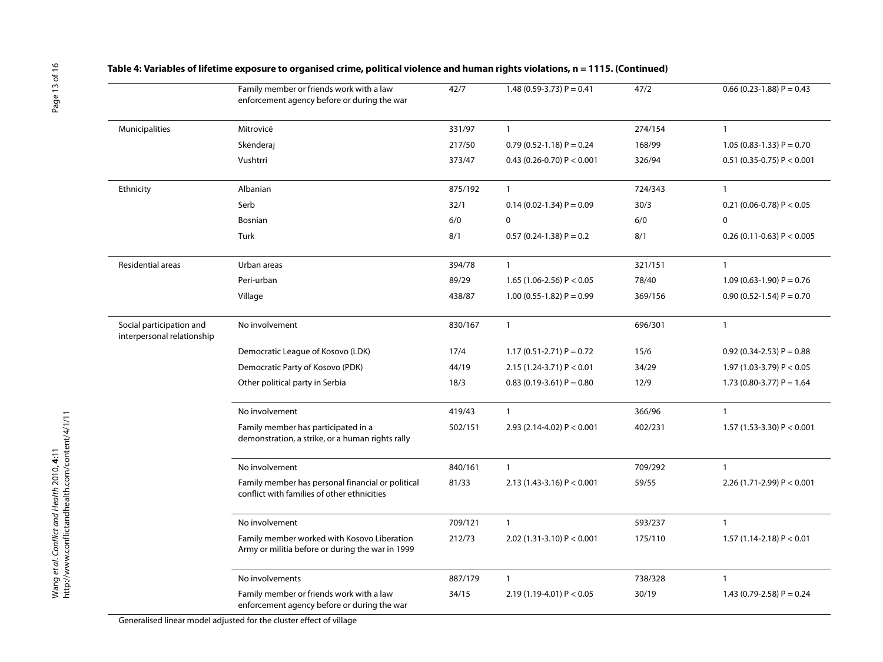|                                                        | Family member or friends work with a law<br>enforcement agency before or during the war          | 42/7    | 1.48 (0.59-3.73) $P = 0.41$  | 47/2    | $0.66$ (0.23-1.88) P = 0.43  |
|--------------------------------------------------------|--------------------------------------------------------------------------------------------------|---------|------------------------------|---------|------------------------------|
| Municipalities                                         | Mitrovicë                                                                                        | 331/97  | $\mathbf{1}$                 | 274/154 | $\mathbf{1}$                 |
|                                                        | Skënderaj                                                                                        | 217/50  | $0.79$ (0.52-1.18) P = 0.24  | 168/99  | $1.05$ (0.83-1.33) P = 0.70  |
|                                                        | Vushtrri                                                                                         | 373/47  | 0.43 (0.26-0.70) $P < 0.001$ | 326/94  | $0.51$ (0.35-0.75) P < 0.001 |
| Ethnicity                                              | Albanian                                                                                         | 875/192 | $\mathbf{1}$                 | 724/343 | $\mathbf{1}$                 |
|                                                        | Serb                                                                                             | 32/1    | $0.14$ (0.02-1.34) P = 0.09  | 30/3    | $0.21$ (0.06-0.78) P < 0.05  |
|                                                        | Bosnian                                                                                          | 6/0     | 0                            | 6/0     | $\Omega$                     |
|                                                        | Turk                                                                                             | 8/1     | $0.57$ (0.24-1.38) P = 0.2   | 8/1     | $0.26$ (0.11-0.63) P < 0.005 |
| Residential areas                                      | Urban areas                                                                                      | 394/78  | $\mathbf{1}$                 | 321/151 | $\mathbf{1}$                 |
|                                                        | Peri-urban                                                                                       | 89/29   | 1.65 (1.06-2.56) $P < 0.05$  | 78/40   | 1.09 (0.63-1.90) $P = 0.76$  |
|                                                        | Village                                                                                          | 438/87  | $1.00$ (0.55-1.82) P = 0.99  | 369/156 | $0.90(0.52 - 1.54) P = 0.70$ |
| Social participation and<br>interpersonal relationship | No involvement                                                                                   | 830/167 | $\mathbf{1}$                 | 696/301 | $\mathbf{1}$                 |
|                                                        | Democratic League of Kosovo (LDK)                                                                | 17/4    | 1.17 (0.51-2.71) $P = 0.72$  | 15/6    | $0.92$ (0.34-2.53) P = 0.88  |
|                                                        | Democratic Party of Kosovo (PDK)                                                                 | 44/19   | 2.15 (1.24-3.71) $P < 0.01$  | 34/29   | 1.97 (1.03-3.79) $P < 0.05$  |
|                                                        | Other political party in Serbia                                                                  | 18/3    | $0.83$ (0.19-3.61) P = 0.80  | 12/9    | 1.73 (0.80-3.77) $P = 1.64$  |
|                                                        | No involvement                                                                                   | 419/43  | $\mathbf{1}$                 | 366/96  | $\mathbf{1}$                 |
|                                                        | Family member has participated in a<br>demonstration, a strike, or a human rights rally          | 502/151 | 2.93 (2.14-4.02) $P < 0.001$ | 402/231 | 1.57 (1.53-3.30) $P < 0.001$ |
|                                                        | No involvement                                                                                   | 840/161 | $\mathbf{1}$                 | 709/292 | 1                            |
|                                                        | Family member has personal financial or political<br>conflict with families of other ethnicities | 81/33   | 2.13 (1.43-3.16) $P < 0.001$ | 59/55   | 2.26 (1.71-2.99) $P < 0.001$ |
|                                                        | No involvement                                                                                   | 709/121 | $\mathbf{1}$                 | 593/237 | $\mathbf{1}$                 |
|                                                        | Family member worked with Kosovo Liberation<br>Army or militia before or during the war in 1999  | 212/73  | 2.02 (1.31-3.10) $P < 0.001$ | 175/110 | 1.57 (1.14-2.18) $P < 0.01$  |
|                                                        | No involvements                                                                                  | 887/179 | $\mathbf{1}$                 | 738/328 | $\mathbf{1}$                 |
|                                                        | Family member or friends work with a law<br>enforcement agency before or during the war          | 34/15   | 2.19 (1.19-4.01) $P < 0.05$  | 30/19   | 1.43 (0.79-2.58) $P = 0.24$  |

# **Table 4: Variables of lifetime exposure to organised crime, political violence and human rights violations, n = 1115. (Continued)**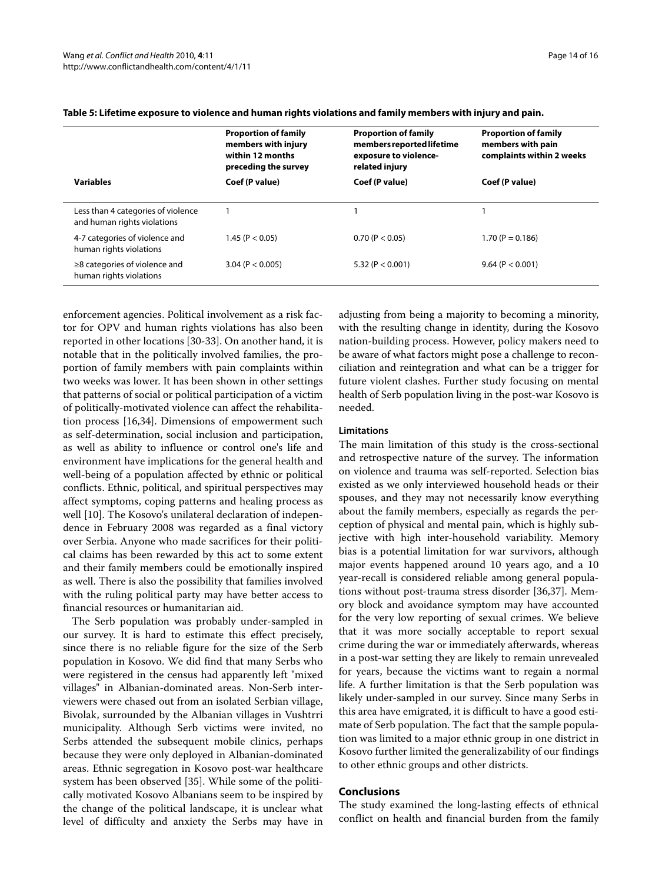|                                                                   | <b>Proportion of family</b><br>members with injury<br>within 12 months<br>preceding the survey | <b>Proportion of family</b><br>members reported lifetime<br>exposure to violence-<br>related injury | <b>Proportion of family</b><br>members with pain<br>complaints within 2 weeks |  |  |
|-------------------------------------------------------------------|------------------------------------------------------------------------------------------------|-----------------------------------------------------------------------------------------------------|-------------------------------------------------------------------------------|--|--|
| <b>Variables</b>                                                  | Coef (P value)                                                                                 | Coef (P value)                                                                                      | Coef (P value)                                                                |  |  |
| Less than 4 categories of violence<br>and human rights violations |                                                                                                |                                                                                                     |                                                                               |  |  |
| 4-7 categories of violence and<br>human rights violations         | 1.45 ( $P < 0.05$ )                                                                            | $0.70$ (P $< 0.05$ )                                                                                | $1.70 (P = 0.186)$                                                            |  |  |
| $\geq$ 8 categories of violence and<br>human rights violations    | 3.04 ( $P < 0.005$ )                                                                           | 5.32 ( $P < 0.001$ )                                                                                | 9.64 (P < 0.001)                                                              |  |  |

enforcement agencies. Political involvement as a risk factor for OPV and human rights violations has also been reported in other locations [\[30](#page-15-27)[-33](#page-15-28)]. On another hand, it is notable that in the politically involved families, the proportion of family members with pain complaints within two weeks was lower. It has been shown in other settings that patterns of social or political participation of a victim of politically-motivated violence can affect the rehabilitation process [[16,](#page-15-12)[34\]](#page-15-29). Dimensions of empowerment such as self-determination, social inclusion and participation, as well as ability to influence or control one's life and environment have implications for the general health and well-being of a population affected by ethnic or political conflicts. Ethnic, political, and spiritual perspectives may affect symptoms, coping patterns and healing process as well [[10\]](#page-15-7). The Kosovo's unilateral declaration of independence in February 2008 was regarded as a final victory over Serbia. Anyone who made sacrifices for their political claims has been rewarded by this act to some extent and their family members could be emotionally inspired as well. There is also the possibility that families involved with the ruling political party may have better access to financial resources or humanitarian aid.

The Serb population was probably under-sampled in our survey. It is hard to estimate this effect precisely, since there is no reliable figure for the size of the Serb population in Kosovo. We did find that many Serbs who were registered in the census had apparently left "mixed villages" in Albanian-dominated areas. Non-Serb interviewers were chased out from an isolated Serbian village, Bivolak, surrounded by the Albanian villages in Vushtrri municipality. Although Serb victims were invited, no Serbs attended the subsequent mobile clinics, perhaps because they were only deployed in Albanian-dominated areas. Ethnic segregation in Kosovo post-war healthcare system has been observed [\[35\]](#page-15-30). While some of the politically motivated Kosovo Albanians seem to be inspired by the change of the political landscape, it is unclear what level of difficulty and anxiety the Serbs may have in

adjusting from being a majority to becoming a minority, with the resulting change in identity, during the Kosovo nation-building process. However, policy makers need to be aware of what factors might pose a challenge to reconciliation and reintegration and what can be a trigger for future violent clashes. Further study focusing on mental health of Serb population living in the post-war Kosovo is needed.

#### **Limitations**

The main limitation of this study is the cross-sectional and retrospective nature of the survey. The information on violence and trauma was self-reported. Selection bias existed as we only interviewed household heads or their spouses, and they may not necessarily know everything about the family members, especially as regards the perception of physical and mental pain, which is highly subjective with high inter-household variability. Memory bias is a potential limitation for war survivors, although major events happened around 10 years ago, and a 10 year-recall is considered reliable among general populations without post-trauma stress disorder [[36,](#page-15-31)[37\]](#page-15-32). Memory block and avoidance symptom may have accounted for the very low reporting of sexual crimes. We believe that it was more socially acceptable to report sexual crime during the war or immediately afterwards, whereas in a post-war setting they are likely to remain unrevealed for years, because the victims want to regain a normal life. A further limitation is that the Serb population was likely under-sampled in our survey. Since many Serbs in this area have emigrated, it is difficult to have a good estimate of Serb population. The fact that the sample population was limited to a major ethnic group in one district in Kosovo further limited the generalizability of our findings to other ethnic groups and other districts.

#### **Conclusions**

The study examined the long-lasting effects of ethnical conflict on health and financial burden from the family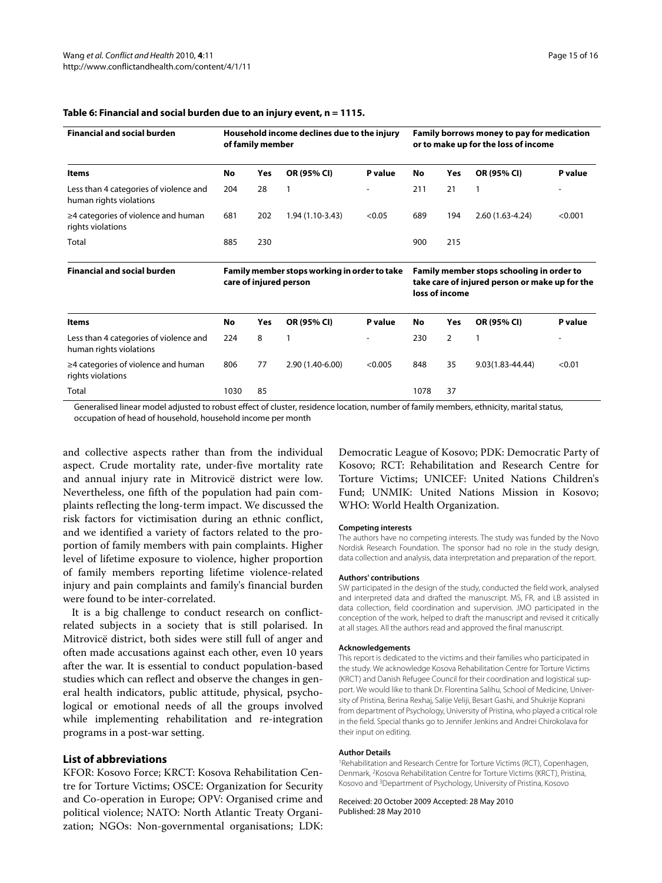| <b>Financial and social burden</b>                                | Household income declines due to the injury<br>of family member |                                                                        |                  | Family borrows money to pay for medication<br>or to make up for the loss of income                            |      |     |                     |         |
|-------------------------------------------------------------------|-----------------------------------------------------------------|------------------------------------------------------------------------|------------------|---------------------------------------------------------------------------------------------------------------|------|-----|---------------------|---------|
| <b>Items</b>                                                      | No                                                              | Yes                                                                    | OR (95% CI)      | P value                                                                                                       | No   | Yes | OR (95% CI)         | P value |
| Less than 4 categories of violence and<br>human rights violations | 204                                                             | 28                                                                     | 1                |                                                                                                               | 211  | 21  | $\mathbf{1}$        |         |
| $\geq$ 4 categories of violence and human<br>rights violations    | 681                                                             | 202                                                                    | 1.94 (1.10-3.43) | < 0.05                                                                                                        | 689  | 194 | $2.60(1.63 - 4.24)$ | < 0.001 |
| Total                                                             | 885                                                             | 230                                                                    |                  |                                                                                                               | 900  | 215 |                     |         |
| <b>Financial and social burden</b>                                |                                                                 | Family member stops working in order to take<br>care of injured person |                  | Family member stops schooling in order to<br>take care of injured person or make up for the<br>loss of income |      |     |                     |         |
| <b>Items</b>                                                      | No                                                              | Yes                                                                    | OR (95% CI)      | P value                                                                                                       | No   | Yes | OR (95% CI)         | P value |
| Less than 4 categories of violence and<br>human rights violations | 224                                                             | 8                                                                      | 1                |                                                                                                               | 230  | 2   | 1                   |         |
| $\geq$ 4 categories of violence and human<br>rights violations    | 806                                                             | 77                                                                     | 2.90 (1.40-6.00) | < 0.005                                                                                                       | 848  | 35  | 9.03(1.83-44.44)    | < 0.01  |
| Total                                                             | 1030                                                            | 85                                                                     |                  |                                                                                                               | 1078 | 37  |                     |         |

#### **Table 6: Financial and social burden due to an injury event, n = 1115.**

Generalised linear model adjusted to robust effect of cluster, residence location, number of family members, ethnicity, marital status, occupation of head of household, household income per month

and collective aspects rather than from the individual aspect. Crude mortality rate, under-five mortality rate and annual injury rate in Mitrovicë district were low. Nevertheless, one fifth of the population had pain complaints reflecting the long-term impact. We discussed the risk factors for victimisation during an ethnic conflict, and we identified a variety of factors related to the proportion of family members with pain complaints. Higher level of lifetime exposure to violence, higher proportion of family members reporting lifetime violence-related injury and pain complaints and family's financial burden were found to be inter-correlated.

It is a big challenge to conduct research on conflictrelated subjects in a society that is still polarised. In Mitrovicë district, both sides were still full of anger and often made accusations against each other, even 10 years after the war. It is essential to conduct population-based studies which can reflect and observe the changes in general health indicators, public attitude, physical, psychological or emotional needs of all the groups involved while implementing rehabilitation and re-integration programs in a post-war setting.

#### **List of abbreviations**

KFOR: Kosovo Force; KRCT: Kosova Rehabilitation Centre for Torture Victims; OSCE: Organization for Security and Co-operation in Europe; OPV: Organised crime and political violence; NATO: North Atlantic Treaty Organization; NGOs: Non-governmental organisations; LDK:

Democratic League of Kosovo; PDK: Democratic Party of Kosovo; RCT: Rehabilitation and Research Centre for Torture Victims; UNICEF: United Nations Children's Fund; UNMIK: United Nations Mission in Kosovo; WHO: World Health Organization.

#### **Competing interests**

The authors have no competing interests. The study was funded by the Novo Nordisk Research Foundation. The sponsor had no role in the study design, data collection and analysis, data interpretation and preparation of the report.

#### **Authors' contributions**

SW participated in the design of the study, conducted the field work, analysed and interpreted data and drafted the manuscript. MS, FR, and LB assisted in data collection, field coordination and supervision. JMO participated in the conception of the work, helped to draft the manuscript and revised it critically at all stages. All the authors read and approved the final manuscript.

#### **Acknowledgements**

This report is dedicated to the victims and their families who participated in the study. We acknowledge Kosova Rehabilitation Centre for Torture Victims (KRCT) and Danish Refugee Council for their coordination and logistical support. We would like to thank Dr. Florentina Salihu, School of Medicine, University of Pristina, Berina Rexhaj, Salije Veliji, Besart Gashi, and Shukrije Koprani from department of Psychology, University of Pristina, who played a critical role in the field. Special thanks go to Jennifer Jenkins and Andrei Chirokolava for their input on editing.

#### **Author Details**

1Rehabilitation and Research Centre for Torture Victims (RCT), Copenhagen, Denmark, 2Kosova Rehabilitation Centre for Torture Victims (KRCT), Pristina, Kosovo and 3Department of Psychology, University of Pristina, Kosovo

Received: 20 October 2009 Accepted: 28 May 2010 Published: 28 May 2010